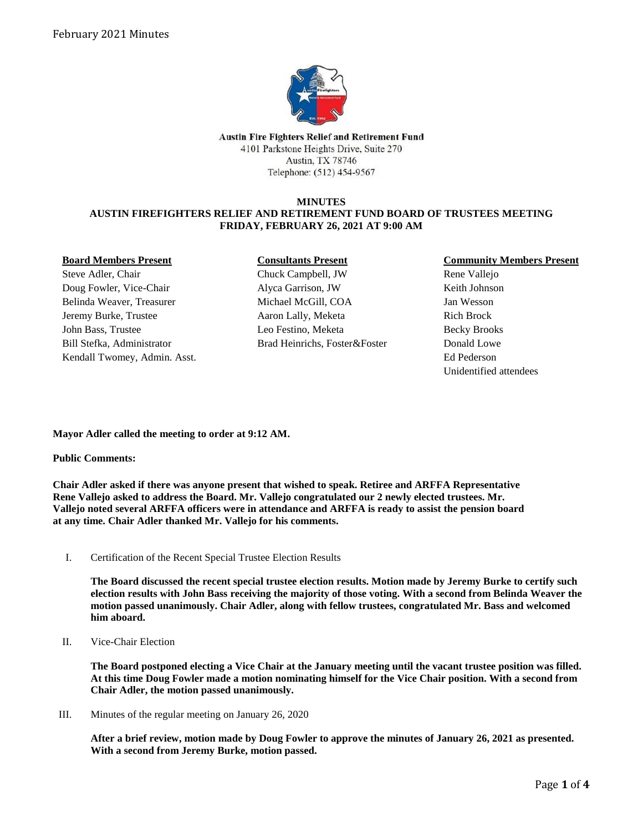

Austin Fire Fighters Relief and Retirement Fund 4101 Parkstone Heights Drive, Suite 270 Austin, TX 78746 Telephone: (512) 454-9567

# **MINUTES**

#### **AUSTIN FIREFIGHTERS RELIEF AND RETIREMENT FUND BOARD OF TRUSTEES MEETING FRIDAY, FEBRUARY 26, 2021 AT 9:00 AM**

#### **Board Members Present**

Steve Adler, Chair Doug Fowler, Vice-Chair Belinda Weaver, Treasurer Jeremy Burke, Trustee John Bass, Trustee Bill Stefka, Administrator Kendall Twomey, Admin. Asst.

## **Consultants Present**

Chuck Campbell, JW Alyca Garrison, JW Michael McGill, COA Aaron Lally, Meketa Leo Festino, Meketa Brad Heinrichs, Foster&Foster

## **Community Members Present**

Rene Vallejo Keith Johnson Jan Wesson Rich Brock Becky Brooks Donald Lowe Ed Pederson Unidentified attendees

**Mayor Adler called the meeting to order at 9:12 AM.**

## **Public Comments:**

**Chair Adler asked if there was anyone present that wished to speak. Retiree and ARFFA Representative Rene Vallejo asked to address the Board. Mr. Vallejo congratulated our 2 newly elected trustees. Mr. Vallejo noted several ARFFA officers were in attendance and ARFFA is ready to assist the pension board at any time. Chair Adler thanked Mr. Vallejo for his comments.**

I. Certification of the Recent Special Trustee Election Results

**The Board discussed the recent special trustee election results. Motion made by Jeremy Burke to certify such election results with John Bass receiving the majority of those voting. With a second from Belinda Weaver the motion passed unanimously. Chair Adler, along with fellow trustees, congratulated Mr. Bass and welcomed him aboard.** 

II. Vice-Chair Election

**The Board postponed electing a Vice Chair at the January meeting until the vacant trustee position was filled. At this time Doug Fowler made a motion nominating himself for the Vice Chair position. With a second from Chair Adler, the motion passed unanimously.**

III. Minutes of the regular meeting on January 26, 2020

**After a brief review, motion made by Doug Fowler to approve the minutes of January 26, 2021 as presented. With a second from Jeremy Burke, motion passed.**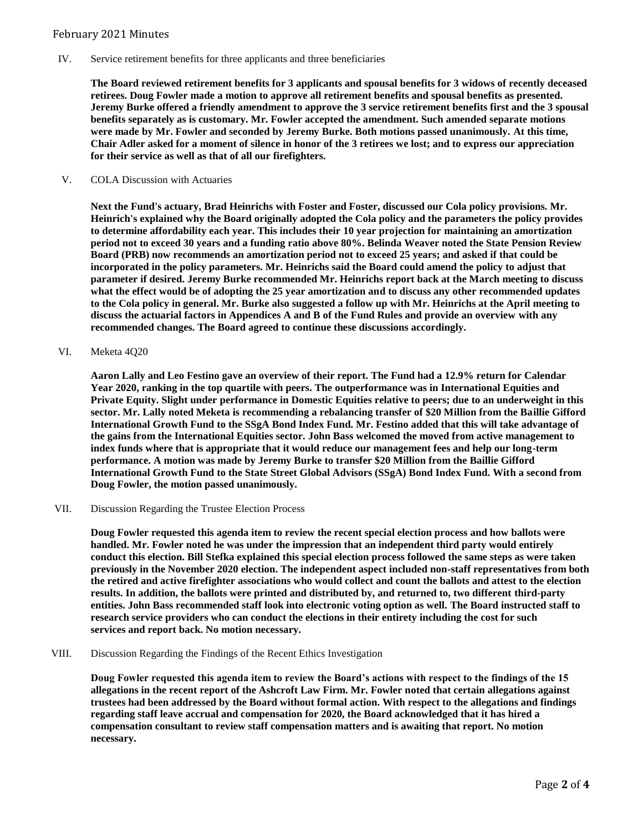# February 2021 Minutes

IV. Service retirement benefits for three applicants and three beneficiaries

**The Board reviewed retirement benefits for 3 applicants and spousal benefits for 3 widows of recently deceased retirees. Doug Fowler made a motion to approve all retirement benefits and spousal benefits as presented. Jeremy Burke offered a friendly amendment to approve the 3 service retirement benefits first and the 3 spousal benefits separately as is customary. Mr. Fowler accepted the amendment. Such amended separate motions were made by Mr. Fowler and seconded by Jeremy Burke. Both motions passed unanimously. At this time, Chair Adler asked for a moment of silence in honor of the 3 retirees we lost; and to express our appreciation for their service as well as that of all our firefighters.**

V. COLA Discussion with Actuaries

**Next the Fund's actuary, Brad Heinrichs with Foster and Foster, discussed our Cola policy provisions. Mr. Heinrich's explained why the Board originally adopted the Cola policy and the parameters the policy provides to determine affordability each year. This includes their 10 year projection for maintaining an amortization period not to exceed 30 years and a funding ratio above 80%. Belinda Weaver noted the State Pension Review Board (PRB) now recommends an amortization period not to exceed 25 years; and asked if that could be incorporated in the policy parameters. Mr. Heinrichs said the Board could amend the policy to adjust that parameter if desired. Jeremy Burke recommended Mr. Heinrichs report back at the March meeting to discuss what the effect would be of adopting the 25 year amortization and to discuss any other recommended updates to the Cola policy in general. Mr. Burke also suggested a follow up with Mr. Heinrichs at the April meeting to discuss the actuarial factors in Appendices A and B of the Fund Rules and provide an overview with any recommended changes. The Board agreed to continue these discussions accordingly.**

VI. Meketa 4Q20

**Aaron Lally and Leo Festino gave an overview of their report. The Fund had a 12.9% return for Calendar Year 2020, ranking in the top quartile with peers. The outperformance was in International Equities and Private Equity. Slight under performance in Domestic Equities relative to peers; due to an underweight in this sector. Mr. Lally noted Meketa is recommending a rebalancing transfer of \$20 Million from the Baillie Gifford International Growth Fund to the SSgA Bond Index Fund. Mr. Festino added that this will take advantage of the gains from the International Equities sector. John Bass welcomed the moved from active management to index funds where that is appropriate that it would reduce our management fees and help our long-term performance. A motion was made by Jeremy Burke to transfer \$20 Million from the Baillie Gifford International Growth Fund to the State Street Global Advisors (SSgA) Bond Index Fund. With a second from Doug Fowler, the motion passed unanimously.**

VII. Discussion Regarding the Trustee Election Process

**Doug Fowler requested this agenda item to review the recent special election process and how ballots were handled. Mr. Fowler noted he was under the impression that an independent third party would entirely conduct this election. Bill Stefka explained this special election process followed the same steps as were taken previously in the November 2020 election. The independent aspect included non-staff representatives from both the retired and active firefighter associations who would collect and count the ballots and attest to the election results. In addition, the ballots were printed and distributed by, and returned to, two different third-party entities. John Bass recommended staff look into electronic voting option as well. The Board instructed staff to research service providers who can conduct the elections in their entirety including the cost for such services and report back. No motion necessary.**

VIII. Discussion Regarding the Findings of the Recent Ethics Investigation

**Doug Fowler requested this agenda item to review the Board's actions with respect to the findings of the 15 allegations in the recent report of the Ashcroft Law Firm. Mr. Fowler noted that certain allegations against trustees had been addressed by the Board without formal action. With respect to the allegations and findings regarding staff leave accrual and compensation for 2020, the Board acknowledged that it has hired a compensation consultant to review staff compensation matters and is awaiting that report. No motion necessary.**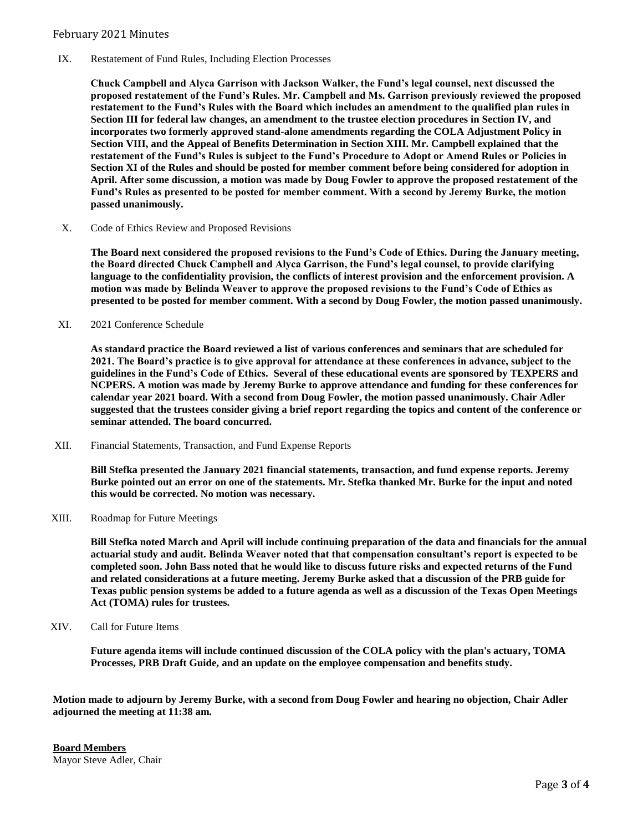## February 2021 Minutes

IX. Restatement of Fund Rules, Including Election Processes

**Chuck Campbell and Alyca Garrison with Jackson Walker, the Fund's legal counsel, next discussed the proposed restatement of the Fund's Rules. Mr. Campbell and Ms. Garrison previously reviewed the proposed restatement to the Fund's Rules with the Board which includes an amendment to the qualified plan rules in Section III for federal law changes, an amendment to the trustee election procedures in Section IV, and incorporates two formerly approved stand-alone amendments regarding the COLA Adjustment Policy in Section VIII, and the Appeal of Benefits Determination in Section XIII. Mr. Campbell explained that the restatement of the Fund's Rules is subject to the Fund's Procedure to Adopt or Amend Rules or Policies in Section XI of the Rules and should be posted for member comment before being considered for adoption in April. After some discussion, a motion was made by Doug Fowler to approve the proposed restatement of the Fund's Rules as presented to be posted for member comment. With a second by Jeremy Burke, the motion passed unanimously.**

X. Code of Ethics Review and Proposed Revisions

**The Board next considered the proposed revisions to the Fund's Code of Ethics. During the January meeting, the Board directed Chuck Campbell and Alyca Garrison, the Fund's legal counsel, to provide clarifying language to the confidentiality provision, the conflicts of interest provision and the enforcement provision. A motion was made by Belinda Weaver to approve the proposed revisions to the Fund's Code of Ethics as presented to be posted for member comment. With a second by Doug Fowler, the motion passed unanimously.**

XI. 2021 Conference Schedule

**As standard practice the Board reviewed a list of various conferences and seminars that are scheduled for 2021. The Board's practice is to give approval for attendance at these conferences in advance, subject to the guidelines in the Fund's Code of Ethics. Several of these educational events are sponsored by TEXPERS and NCPERS. A motion was made by Jeremy Burke to approve attendance and funding for these conferences for calendar year 2021 board. With a second from Doug Fowler, the motion passed unanimously. Chair Adler suggested that the trustees consider giving a brief report regarding the topics and content of the conference or seminar attended. The board concurred.**

XII. Financial Statements, Transaction, and Fund Expense Reports

**Bill Stefka presented the January 2021 financial statements, transaction, and fund expense reports. Jeremy Burke pointed out an error on one of the statements. Mr. Stefka thanked Mr. Burke for the input and noted this would be corrected. No motion was necessary.**

XIII. Roadmap for Future Meetings

**Bill Stefka noted March and April will include continuing preparation of the data and financials for the annual actuarial study and audit. Belinda Weaver noted that that compensation consultant's report is expected to be completed soon. John Bass noted that he would like to discuss future risks and expected returns of the Fund and related considerations at a future meeting. Jeremy Burke asked that a discussion of the PRB guide for Texas public pension systems be added to a future agenda as well as a discussion of the Texas Open Meetings Act (TOMA) rules for trustees.**

XIV. Call for Future Items

**Future agenda items will include continued discussion of the COLA policy with the plan's actuary, TOMA Processes, PRB Draft Guide, and an update on the employee compensation and benefits study.**

**Motion made to adjourn by Jeremy Burke, with a second from Doug Fowler and hearing no objection, Chair Adler adjourned the meeting at 11:38 am.** 

**Board Members** Mayor Steve Adler, Chair